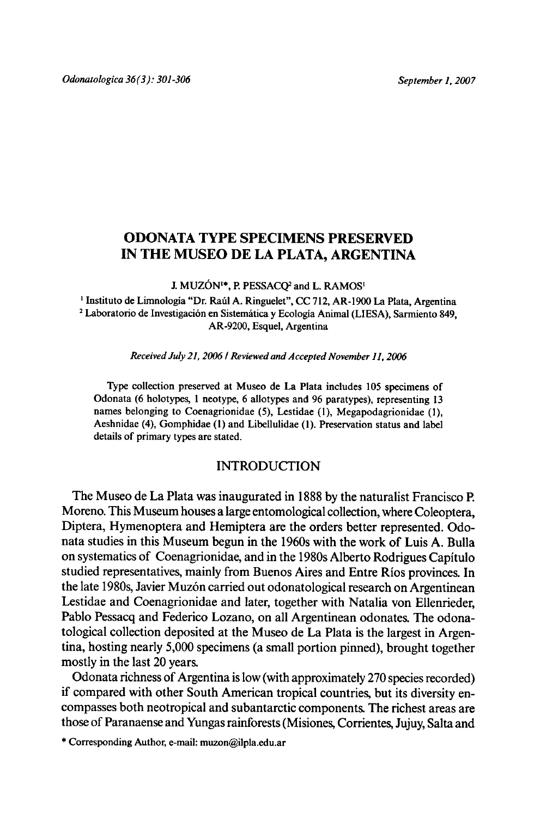# ODONATA TYPE SPECIMENS PRESERVED IN THE MUSEO DE LA PLATA, ARGENTINA

J. MUZÓN<sup>1\*</sup>, P. PESSACQ<sup>2</sup> and L. RAMOS<sup>1</sup>

<sup>1</sup> Instituto de Limnología "Dr. Raúl A. Ringuelet", CC 712, AR-1900 La Plata, Argentina <sup>2</sup> Laboratorio de Investigación en Sistemática y Ecología Animal (LIESA), Sarmiento 849, AR-9200, Esquel, Argentina

Received July21, <sup>2006</sup> / Reviewed and Accepted November 11, <sup>2006</sup>

Type collection preserved at Museo de La Plata includes <sup>105</sup> specimens of Odonata (6 holotypes, <sup>1</sup> neotype, 6 allotypes and 96 paratypes), representing <sup>13</sup> names belonging to Coenagrionidae (5), Lestidae (1), Megapodagrionidae (I), Aeshnidae (4), Gomphidae (1) and Libellulidae (1). Preservation status and label details of primary types are stated.

## INTRODUCTION

The Museo de La Plata was inaugurated in 1888 by the naturalist Francisco P. Moreno. This Museum houses a large entomological collection, where Coleoptera, Diptera, Hymenoptera and Hemiptera are the orders better represented. Odonata studies in this Museum begun in the 1960s with the work of Luis A. Bulla on systematics of Coenagrionidae, and in the 1980sAlberto Rodrigues Capitulo studied representatives, mainly from Buenos Aires and Entre Rios provinces. In the late 1980s, Javier Muzón carried out odonatological research on Argentinean Lestidae and Coenagrionidae and later, together with Natalia von Ellenrieder, Pablo Pessacq and Federico Lozano, on all Argentinean odonates. The odonatological collection deposited at the Museo de La Plata is the largest in Argentina, hosting nearly 5,000 specimens (a small portion pinned), brought together mostly in the last <sup>20</sup> years.

Odonata richness of Argentina is low (with approximately 270 species recorded) if compared with other South American tropical countries, but its diversity encompasses both neotropical and subantarctic components.The richest areas are those of Paranaense and Yungas rainforests (Misiones, Corrientes, Jujuy, Salta and

\* CorrespondingAuthor, e-mail: muzon@ilpla.edu.ar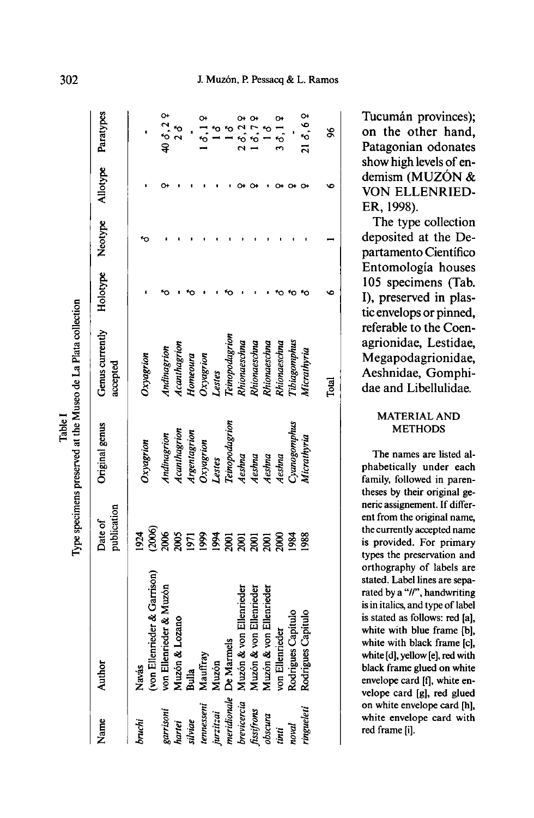|       | $\overline{\mathbf{S}}$ |
|-------|-------------------------|
|       | Plata                   |
|       | 3                       |
|       |                         |
|       | Vluseo de l             |
| Table | at the                  |
|       |                         |
|       | preserved               |
|       | <b>Transitions</b>      |
|       |                         |

ection

, m

specimens

| Name        | Author                                | publication<br>Date of | Original genus        | Genus currently Holotype Neotype Allotype Paratypes<br>accepted |  |               |
|-------------|---------------------------------------|------------------------|-----------------------|-----------------------------------------------------------------|--|---------------|
| bruchi      | (von Ellenrieder & Garrison)<br>Navás | 924                    | <b>Dxyagrion</b>      | Oxyagrion                                                       |  |               |
| garrisoni   | von Ellenrieder & Muzón               | (2006)<br>2006         | Indinagrion           | Indinagrion                                                     |  | 40 8,2 9      |
| hartei      | Muzón & Lozano                        | 2005                   | Acanthagrion          | Acanthagrion                                                    |  |               |
| silviae     | Bulla                                 | 160                    | Argentagrion          | Homeoura                                                        |  |               |
| tennesseni  | Mauffray                              | 1999                   | Oxyagrion<br>Lestes   | Oxyagrion                                                       |  | $\dot{\circ}$ |
| jurzitzai   | Muzón                                 | 1994                   |                       | Lestes                                                          |  |               |
|             | meridionale De Marmels                |                        | <b>Teinopodagrion</b> | Teinopodagrion                                                  |  |               |
| brevicercia | Muzón & von Ellenrieder               |                        | Aeshna                | Vhionaeschna                                                    |  |               |
| fissifrons  | Muzón & von Ellenrieder               | <u>ន្តន្តន្ត្ត</u>     | Aeshna                | Rhionaeschna                                                    |  |               |
| obscura     | Muzón & von Ellenrieder               |                        | Aeshna                | Rhionaeschna                                                    |  |               |
| tinti       | von Ellenrieder                       | 2000                   | Aeshna                | Vnonaeschna                                                     |  | 30.19         |
| noval       | Rodrigues Capitulo                    | 1984                   | smagomphus            | Tibiagomphus                                                    |  |               |
| ringueleti  | Rodrigues Capitulo                    | 1988                   | Micrathyria           | Vicrathyria                                                     |  | 21d, 69       |
|             |                                       |                        |                       | Total                                                           |  | \$            |

Tucumán provinces): on the other hand, Patagonian odonates show high levels of endemism (MUZON & VON ELLENRIED-ER, 1998).

The type collection deposited at the Departamento Científico Entomologia houses 105 specimens (Tab. I), preserved in plastic envelops or pinned, referable to the Coenagrionidae, Lestidae, Megapodagrionidae, Aeshnidae, Gomphidae and Libellulidae.

## MATERIALAND **METHODS**

The names are listed alphabetically under each family, followed in parentheses by their original generic assignement. If different from the original name, the currently accepted name is provided. For primary types the preservation and orthography of labels are stated. Label lines are separated by a "//", handwriting is in italics, and type of label is stated as follows: red [a], white with blue frame [b], white with black frame [c], white [d], yellow[e], red with black frame glued on white envelope card [f], white envelope card [g], red glued on white envelope card [h], white envelope card with red frame [i].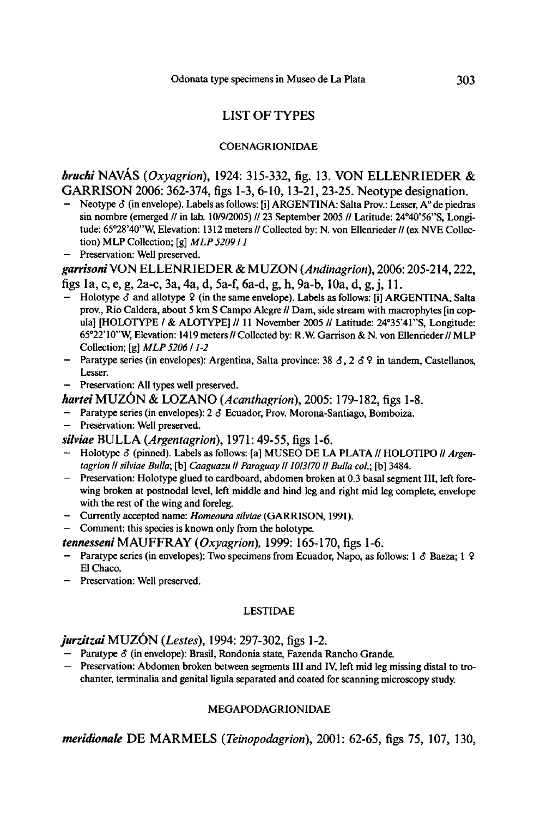## LIST OF TYPES

## COENAGRIONIDAE

## bruchi NAVÁS (Oxyagrion), 1924: 315-332, fig. 13. VON ELLENRIEDER & GARRISON 2006: 362-374, figs 1-3, 6-10, 13-21, 23-25. Neotype designation.

- Neotype ∂ (in envelope). Labels as follows: [i] ARGENTINA: Salta Prov.: Lesser, A° de piedras sin nombre (emerged // in lab. 10/9/2005) // 23 September 2005 // Latitude: 24°40'56''S, Longitude: 65°28'40"W, Elevation: 1312 meters // Collected by: N. von Ellenrieder // (ex NVE Collection) MLP Collection;  $[g]$  MLP 5209 / 1
- Preservation: Well preserved.

garrisoni VON ELLENRIEDER & MUZON (Andinagrion), 2006: 205-214, 222, figs la, c, e, g,2a-c, 3a, 4a, d, 5a-f, 6a-d, g, h, 9a-b, 10a, d, g,j, 11.

- $-$  Holotype  $\delta$  and allotype  $\Omega$  (in the same envelope). Labels as follows: [i] ARGENTINA, Salta prov., Rio Caldera, about 5 km S Campo Alegre // Dam, side stream with macrophytes [in copula] [HOLOTYPE / & ALOTYPE] // <sup>11</sup> November <sup>2005</sup> // Latitude: 24°35'41"S, Longitude: 65°22'10"W, Elevation: 1419 meters // Collected by: R.W. Garrison & N. von Ellenrieder // MLP Collection; [g] MLP <sup>5206</sup> / 1-2
- Paratype series (in envelopes): Argentina, Salta province: 38  $\delta$ , 2  $\delta$  9 in tandem, Castellanos, Lesser.
- Preservation: All types well preserved.

hartei MUZÓN & LOZANO (Acanthagrion), 2005: 179-182, figs 1-8.

- Paratype series (in envelopes): <sup>2</sup> <sup>S</sup> Ecuador, Prov. Morona-Santiago,Bomboiza.
- Preservation: Well preserved.

silviae BULLA (Argentagrion), 1971: 49-55, figs 1-6.

- Holotype  $\delta$  (pinned). Labels as follows: [a] MUSEO DE LA PLATA // HOLOTIPO // Argen tagrion II silviae Bulla; [b] Caaguazu II Paraguay II 1013170 II Bulla col.; [b] 3484.
- Preservation: Holotype glued to cardboard, abdomen broken at 0.3 basal segment III, left fore wing broken at postnodal level, left middle and hind leg and right mid leg complete, envelope with the rest of the wing and foreleg.
- Currently accepted name: Homeoura silviae (GARRISON, 1991).

— Comment: this species isknown only from the holotype.

- tennesseni MAUFFRAY (Oxyagrion), 1999: 165-170, figs 1-6.
- Paratype series (in envelopes): Two specimens from Ecuador, Napo, as follows: <sup>1</sup> 6 Baeza; <sup>1</sup> 2 El Chaco.
- Preservation: Well preserved.

#### LESTIDAE

## $j$ urzitzai MUZÓN (Lestes), 1994: 297-302, figs 1-2.

- Paratype 6 (in envelope): Brasil, Rondonia state. Fazenda Rancho Grande.
- Preservation: Abdomen broken between segments III and IV, left mid leg missing distal to tro chanter, terminalia and genital ligula separated and coated for scanning microscopy study.

## MEGAPODAGRIONIDAE

meridionale DE MARMELS (Teinopodagrion), 2001: 62-65, figs 75, 107, 130,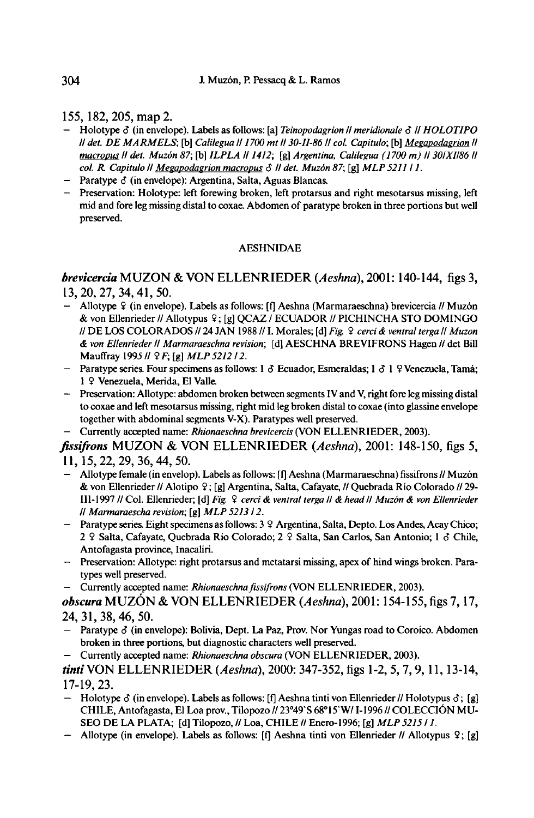155, 182, 205, map2.

- Holotype  $\delta$  (in envelope). Labels as follows: [a] Teinopodagrion // meridionale  $\delta$  // HOLOTIPO ll det. DE MARMELS; [b] Calilegua II 1700 mt II 30-II-86 II col. Capitulo; [b] Megapodagrion II macropus II det. Muzón 87; [b] ILPLA II 1412; [g] Argentina, Calilegua (1700 m) II 30/XII86 II col. R. Capitulo II Megapodagrion macropus  $\delta$  II det. Muzón 87; [g] MLP 5211 / 1.
- **Example 3** (in envelope): Argentina, Salta, Aguas Blancas.
- Preservation: Holotype: left forewing broken, left protarsus and right mesotarsus missing, left mid and fore leg missing distal to coxae. Abdomen of paratype broken in three portions but well preserved.

## AESHNIDAE

## brevicercia MUZON & VON ELLENRIEDER ( Aeshna), 2001: 140-144, figs 3, 13, 20, 27, 34,41,50.

- Allotype 9 (in envelope). Labels as follows: [f] Aeshna (Marmaraeschna)brevicercia // Muzon & von Ellenrieder //Allotypus 9; [g] QCAZ/ ECUADOR // PICHINCHA STO DOMINGO //DE LOS COLORADOS // <sup>24</sup> JAN <sup>1988</sup> //1. Morales;[d] Fig. <sup>2</sup> cerci & ventral terga II Muzon & von Ellenrieder II Marmaraeschna revision; [dl AESCHNA BREVIFRONS Hagen // det Bill Mauffray 1995 //  $9F$ ; [g] MLP 5212 / 2.
- Paratype series. Four specimens as follows: <sup>1</sup> <sup>S</sup> Ecuador, Esmeraldas; <sup>1</sup> d <sup>1</sup> 9Venezuela,Tama; <sup>1</sup> 9 Venezuela, Merida,El Valle.
- Preservation: Allotype: abdomen broken between segments IV and V, right fore leg missing dista to coxae and left mesotarsus missing, right mid leg broken distal to coxae (into glassine envelope together with abdominal segments V-X). Paratypes well preserved.
- Currently accepted name: Rhionaeschna brevicercis (VON ELLENRIEDER, 2003).

fissifrons MUZON & VON ELLENRIEDER (Aeshna), 2001: 148-150, figs 5, 11, 15,22, 29, 36,44, 50.

- Allotype female (in envelop). Labels as follows: [f] Aeshna (Marmaraeschna) fissifrons // Muzón & von Ellenrieder //Alotipo 9; [g] Argentina,Salta, Cafayate, //Quebrada Rio Colorado // 29- III-1997 //Col. Ellenrieder; [d] Fig. <sup>2</sup> cerci & ventral terga II& head II Muzon & von Ellenrieder Il Marmaraescha revision; [g] MLP 521312.
- Paratype series. Eight specimens as follows: 3 9 Argentina, Salta, Depto. Los Andes, Acay Chico; 2 9 Salta, Cafayate, Quebrada Río Colorado; 2 9 Salta, San Carlos, San Antonio; 1 8 Chile, Antofagasta province, Inacaliri.
- Preservation: Allotype: right protarsus and metatarsi missing, apex of hind wings broken. Para types well preserved.
- Currently accepted name: Rhionaeschna fissifrons (VON ELLENRIEDER, 2003).

obscura MUZÓN & VON ELLENRIEDER (Aeshna),  $2001: 154-155$ , figs 7, 17, 24,31,38,46, 50.

- Paratype  $\delta$  (in envelope): Bolivia, Dept. La Paz, Prov. Nor Yungas road to Coroico. Abdomen broken in three portions, but diagnostic characters well preserved.
- Currently accepted name: Rhionaeschna obscura (VON ELLENRIEDER, 2003).

tinti VON ELLENRIEDER (Aeshna), 2000: 347-352, figs 1-2, 5, 7, 9, 11, 13-14, 17-19, 23.

- Holotype  $\delta$  (in envelope). Labels as follows: [f] Aeshna tinti von Ellenrieder // Holotypus  $\delta$ ; [g] CHILE, Antofagasta, El Loa prov., Tilopozo //23°49'S 68°15'W/1-1996 //COLECCION MU-SEO DE LA PLATA; [d] Tilopozo, // Loa, CHILE // Enero-1996; [g] MLP 5215 / 1.
- Allotype (in envelope). Labels as follows: [f] Aeshna tinti von Ellenrieder // Allotypus 2; [g]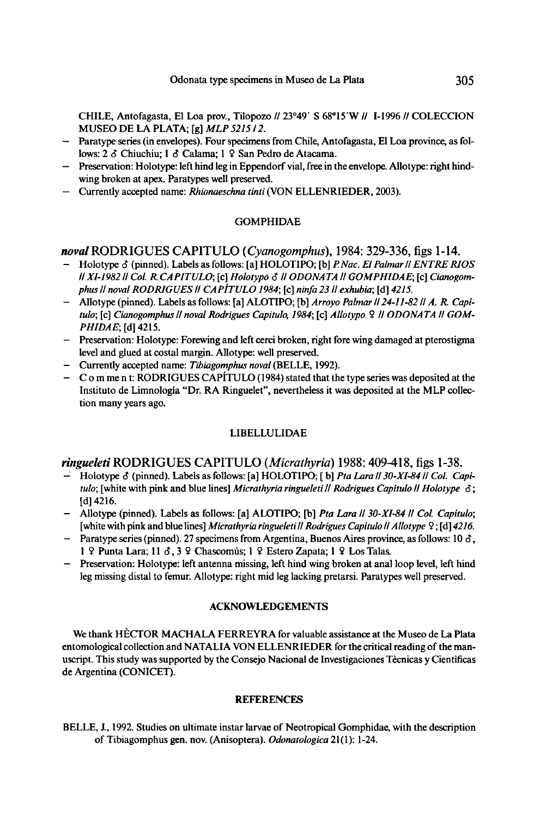CHILE, Antofagasta, El Loa prov., Tilopozo // 23°49' <sup>S</sup> 68°15'W // 1-1996 // COLECCION MUSEO DE LA PLATA; [g] MLP 5215 / 2.

- Paratype series (in envelopes). Four specimens from Chile, Antofagasta, El Loa province, as fo lows: 2  $\delta$  Chiuchiu; 1  $\delta$  Calama; 1  $\Omega$  San Pedro de Atacama.
- Preservation: Holotype: left hind leg in Eppendorf vial, free in the envelope. Allotype: right hind wing broken at apex. Paratypes well preserved.
- Currently accepted name: Rhionaeschna tinti (VON ELLENRIEDER, 2003).

#### GOMPHIDAE

### noval RODRIGUES CAPITULO (Cyanogomphus), 1984: 329-336, figs 1-14.

- Holotype  $\delta$  (pinned). Labels as follows: [a] HOLOTIPO; [b] *P.Nac. El Palmar || ENTRE RIOS* Il XI-1982 | Col. R. CAPITULO; [c] Holotypo & | ODONATA | GOMPHIDAE; [c] Cianogomphus II noval RODRIGUES II CAPÍTULO 1984; [c] ninfa 23 II exhubia; [d] 4215.
- Allotype (pinned). Labels as follows: [a] ALOTIPO; [b]Arroyo Palmar II24-11-82IIA. R Capitulo; [c] Cianogomphus // noval Rodrigues Capitulo, 1984; [c] Allotypo 9 // ODONATA // GOM-PHIDAE; [d] 4215.
- Preservation: Holotype: Forewing and left cerci broken, right fore wing damaged at pterostigma level and glued at costal margin. Allotype: well preserved.
- Currently accepted name: Tibiagomphus noval (BELLE, 1992).
- C o m me n t: RODRIGUES CAPITULO (1984) stated that the type series was deposited at the Institute de Limnologia "Dr, RA Ringuelet", nevertheless it was deposited at the MLP collection many years ago.

#### LIBELLULIDAE

#### ringueleti RODRIGUES CAPITULO (Micrathyria) 1988; 409-418, figs 1-38.

- Holotype δ (pinned). Labels as follows: [a] HOLOTIPO; [b] Pta Lara || 30-XI-84 || Col. Capi tulo; [white with pink and blue lines] Micrathyria ringueleti II Rodrigues Capitulo II Holotype  $\delta$ ; [d] 4216.
- Allotype (pinned). Labels as follows: [a] ALOTIPO; [b] Pta Lara || 30-XI-84 || Col. Capítulo; [white with pink and blue lines] Micrathyria ringueleti // Rodrigues Capitulo // Allotype  $\frac{1}{2}$ ; [d] 4216.
- Paratype series (pinned). 27 specimens from Argentina, Buenos Aires province, as follows: 10  $\delta$ , 1 9 Punta Lara; 11  $\delta$ , 3 9 Chascomús; 1 9 Estero Zapata; 1 9 Los Talas.
- Preservation: Holotype: left antenna missing, left hind wing broken at anal loop level, left hind leg missing distal to femur. Allotype: right mid leg lacking pretarsi. Paratypes well preserved.

### ACKNOWLEDGEMENTS

We thank HECTOR MACHALA FERREYRA for valuable assistance at the Museo de La Plata entomological collection and NATALIA VON ELLENRIEDER for the critical reading of the manuscript. This study was supported by the Consejo Nacional de Investigaciones Tècnicas y Cientificas de Argentina(CON1CET).

#### **REFERENCES**

BELLE, J., 1992. Studies on ultimate instar larvae of Neotropical Gomphidae, with the description of Tibiagomphus gen. nov.(Anisoptera). Odonatologica21(1): 1-24.